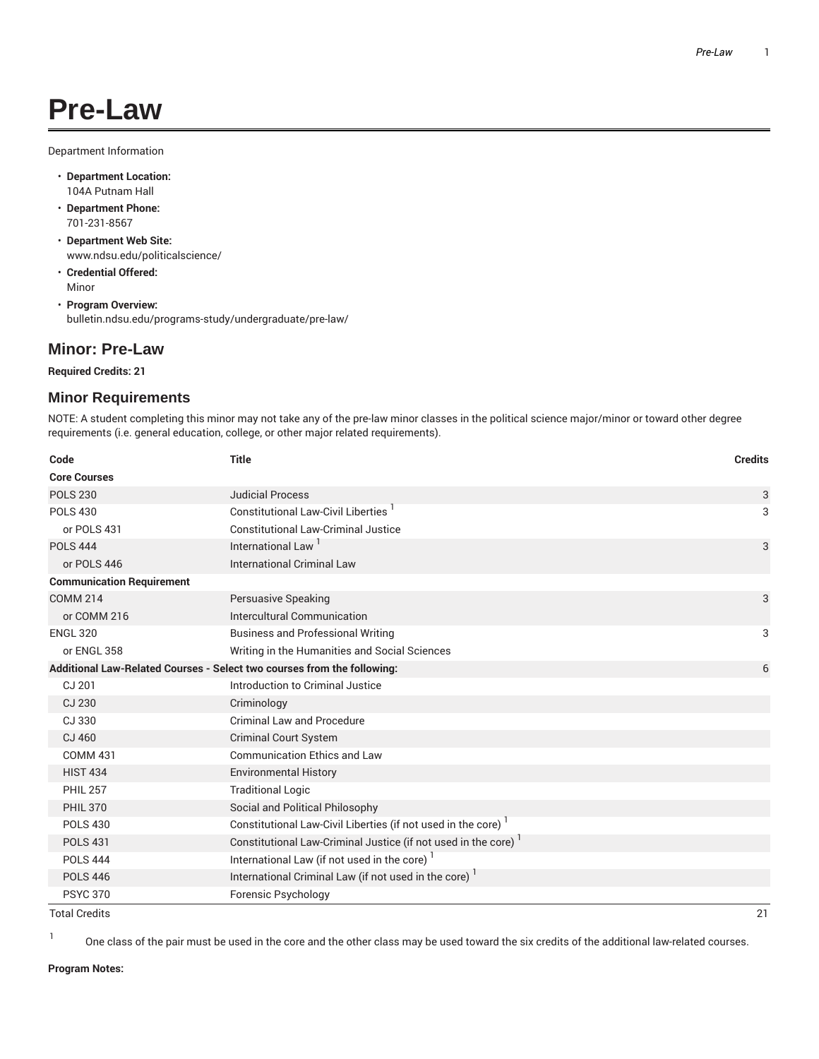## **Pre-Law**

Department Information

- **Department Location:** 104A Putnam Hall
- **Department Phone:** 701-231-8567
- **Department Web Site:** www.ndsu.edu/politicalscience/
- **Credential Offered:** Minor

• **Program Overview:** bulletin.ndsu.edu/programs-study/undergraduate/pre-law/

## **Minor: Pre-Law**

**Required Credits: 21**

## **Minor Requirements**

NOTE: A student completing this minor may not take any of the pre-law minor classes in the political science major/minor or toward other degree requirements (i.e. general education, college, or other major related requirements).

| Code                                                                    | <b>Title</b>                                                  | <b>Credits</b> |
|-------------------------------------------------------------------------|---------------------------------------------------------------|----------------|
| <b>Core Courses</b>                                                     |                                                               |                |
| <b>POLS 230</b>                                                         | <b>Judicial Process</b>                                       | 3              |
| <b>POLS 430</b>                                                         | Constitutional Law-Civil Liberties                            | 3              |
| or POLS 431                                                             | <b>Constitutional Law-Criminal Justice</b>                    |                |
| <b>POLS 444</b>                                                         | International Law <sup>1</sup>                                | 3              |
| or POLS 446                                                             | <b>International Criminal Law</b>                             |                |
| <b>Communication Requirement</b>                                        |                                                               |                |
| <b>COMM 214</b>                                                         | Persuasive Speaking                                           | 3              |
| or COMM 216                                                             | Intercultural Communication                                   |                |
| <b>ENGL 320</b>                                                         | <b>Business and Professional Writing</b>                      | 3              |
| or ENGL 358                                                             | Writing in the Humanities and Social Sciences                 |                |
| Additional Law-Related Courses - Select two courses from the following: |                                                               | 6              |
| CJ 201                                                                  | Introduction to Criminal Justice                              |                |
| CJ 230                                                                  | Criminology                                                   |                |
| CJ 330                                                                  | Criminal Law and Procedure                                    |                |
| CJ 460                                                                  | <b>Criminal Court System</b>                                  |                |
| <b>COMM 431</b>                                                         | <b>Communication Ethics and Law</b>                           |                |
| <b>HIST 434</b>                                                         | <b>Environmental History</b>                                  |                |
| <b>PHIL 257</b>                                                         | <b>Traditional Logic</b>                                      |                |
| <b>PHIL 370</b>                                                         | Social and Political Philosophy                               |                |
| <b>POLS 430</b>                                                         | Constitutional Law-Civil Liberties (if not used in the core)  |                |
| <b>POLS 431</b>                                                         | Constitutional Law-Criminal Justice (if not used in the core) |                |
| <b>POLS 444</b>                                                         | International Law (if not used in the core) <sup>1</sup>      |                |
| <b>POLS 446</b>                                                         | International Criminal Law (if not used in the core)          |                |
| <b>PSYC 370</b>                                                         | Forensic Psychology                                           |                |

Total Credits 21

1 One class of the pair must be used in the core and the other class may be used toward the six credits of the additional law-related courses.

**Program Notes:**